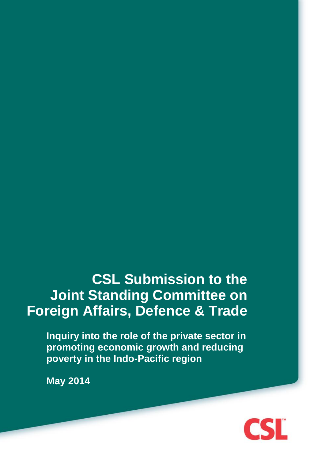**CSL Submission to the Joint Standing Committee on Foreign Affairs, Defence & Trade**

**Inquiry into the role of the private sector in promoting economic growth and reducing poverty in the Indo-Pacific region**

**May 2014**

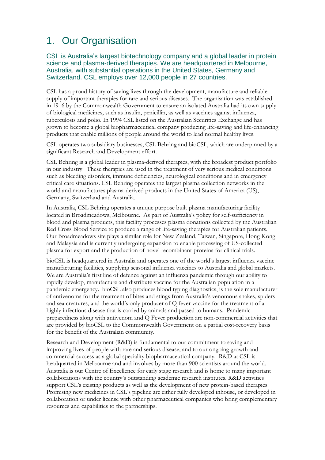# 1. Our Organisation

#### CSL is Australia's largest biotechnology company and a global leader in protein science and plasma-derived therapies. We are headquartered in Melbourne, Australia, with substantial operations in the United States, Germany and Switzerland. CSL employs over 12,000 people in 27 countries.

CSL has a proud history of saving lives through the development, manufacture and reliable supply of important therapies for rare and serious diseases. The organisation was established in 1916 by the Commonwealth Government to ensure an isolated Australia had its own supply of biological medicines, such as insulin, penicillin, as well as vaccines against influenza, tuberculosis and polio. In 1994 CSL listed on the Australian Securities Exchange and has grown to become a global biopharmaceutical company producing life-saving and life-enhancing products that enable millions of people around the world to lead normal healthy lives.

CSL operates two subsidiary businesses, CSL Behring and bioCSL, which are underpinned by a significant Research and Development effort.

CSL Behring is a global leader in plasma-derived therapies, with the broadest product portfolio in our industry. These therapies are used in the treatment of very serious medical conditions such as bleeding disorders, immune deficiencies, neurological conditions and in emergency critical care situations. CSL Behring operates the largest plasma collection networks in the world and manufactures plasma-derived products in the United States of America (US), Germany, Switzerland and Australia.

In Australia, CSL Behring operates a unique purpose built plasma manufacturing facility located in Broadmeadows, Melbourne. As part of Australia's policy for self-sufficiency in blood and plasma products, this facility processes plasma donations collected by the Australian Red Cross Blood Service to produce a range of life-saving therapies for Australian patients. Our Broadmeadows site plays a similar role for New Zealand, Taiwan, Singapore, Hong Kong and Malaysia and is currently undergoing expansion to enable processing of US-collected plasma for export and the production of novel recombinant proteins for clinical trials.

bioCSL is headquartered in Australia and operates one of the world's largest influenza vaccine manufacturing facilities, supplying seasonal influenza vaccines to Australia and global markets. We are Australia's first line of defence against an influenza pandemic through our ability to rapidly develop, manufacture and distribute vaccine for the Australian population in a pandemic emergency. bioCSL also produces blood typing diagnostics, is the sole manufacturer of antivenoms for the treatment of bites and stings from Australia's venomous snakes, spiders and sea creatures, and the world's only producer of Q fever vaccine for the treatment of a highly infectious disease that is carried by animals and passed to humans. Pandemic preparedness along with antivenom and Q Fever production are non-commercial activities that are provided by bioCSL to the Commonwealth Government on a partial cost-recovery basis for the benefit of the Australian community.

Research and Development (R&D) is fundamental to our commitment to saving and improving lives of people with rare and serious disease, and to our ongoing growth and commercial success as a global speciality biopharmaceutical company. R&D at CSL is headquarted in Melbourne and and involves by more than 900 scientists around the world. Australia is our Centre of Excellence for early stage research and is home to many important collaborations with the country's outstanding academic research institutes. R&D activities support CSL's existing products as well as the development of new protein-based therapies. Promising new medicines in CSL's pipeline are either fully developed inhouse, or developed in collaboration or under license with other pharmaceutical companies who bring complementary resources and capabilities to the partnerships.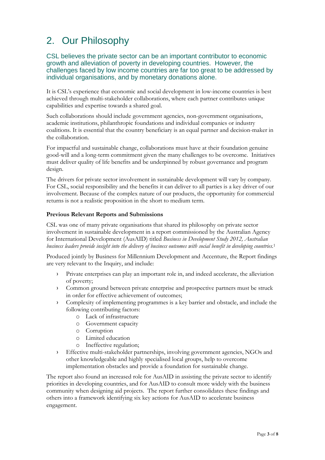# 2. Our Philosophy

CSL believes the private sector can be an important contributor to economic growth and alleviation of poverty in developing countries. However, the challenges faced by low income countries are far too great to be addressed by individual organisations, and by monetary donations alone.

It is CSL's experience that economic and social development in low-income countries is best achieved through multi-stakeholder collaborations, where each partner contributes unique capabilities and expertise towards a shared goal.

Such collaborations should include government agencies, non-government organisations, academic institutions, philanthropic foundations and individual companies or industry coalitions. It is essential that the country beneficiary is an equal partner and decision-maker in the collaboration.

For impactful and sustainable change, collaborations must have at their foundation genuine good-will and a long-term commitment given the many challenges to be overcome. Initiatives must deliver quality of life benefits and be underpinned by robust governance and program design.

The drivers for private sector involvement in sustainable development will vary by company. For CSL, social responsibility and the benefits it can deliver to all parties is a key driver of our involvement. Because of the complex nature of our products, the opportunity for commercial returns is not a realistic proposition in the short to medium term.

#### **Previous Relevant Reports and Submissions**

CSL was one of many private organisations that shared its philosophy on private sector involvement in sustainable development in a report commissioned by the Australian Agency for International Development (AusAID) titled *Business in Development Study 2012, Australian business leaders provide insight into the delivery of business outcomes with social benefit in developing countries.* 1

Produced jointly by Business for Millennium Development and Accenture, the Report findings are very relevant to the Inquiry, and include:

- › Private enterprises can play an important role in, and indeed accelerate, the alleviation of poverty;
- › Common ground between private enterprise and prospective partners must be struck in order for effective achievement of outcomes;
- › Complexity of implementing programmes is a key barrier and obstacle, and include the following contributing factors:
	- o Lack of infrastructure
	- o Government capacity
	- o Corruption
	- o Limited education
	- o Ineffective regulation;
- › Effective multi-stakeholder partnerships, involving government agencies, NGOs and other knowledgeable and highly specialised local groups, help to overcome implementation obstacles and provide a foundation for sustainable change.

The report also found an increased role for AusAID in assisting the private sector to identify priorities in developing countries, and for AusAID to consult more widely with the business community when designing aid projects. The report further consolidates these findings and others into a framework identifying six key actions for AusAID to accelerate business engagement.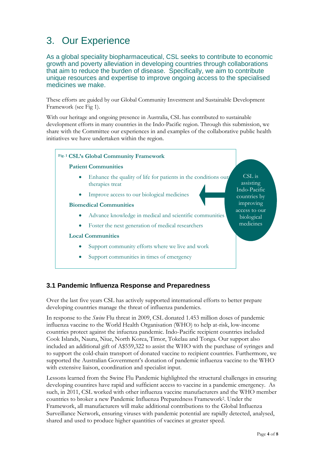## 3. Our Experience

As a global speciality biopharmaceutical, CSL seeks to contribute to economic growth and poverty alleviation in developing countries through collaborations that aim to reduce the burden of disease. Specifically, we aim to contribute unique resources and expertise to improve ongoing access to the specialised medicines we make.

These efforts are guided by our Global Community Investment and Sustainable Development Framework (see Fig 1).

With our heritage and ongoing presence in Australia, CSL has contributed to sustainable development efforts in many countries in the Indo-Pacific region. Through this submission, we share with the Committee our experiences in and examples of the collaborative public health initiatives we have undertaken within the region.

#### **Fig. 1 CSL's Global Community Framework Patient Communities**

- Enhance the quality of life for patients in the conditions our therapies treat
- Improve access to our biological medicines

#### **Biomedical Communities**

- Advance knowledge in medical and scientific communities
- Foster the next generation of medical researchers

#### **Local Communities**

- Support community efforts where we live and work
- Support communities in times of emergency

CSL is assisting Indo-Pacific countries by improving access to our biological medicines

## **3.1 Pandemic Influenza Response and Preparedness**

Over the last five years CSL has actively supported international efforts to better prepare developing countries manage the threat of influenza pandemics.

In response to the *Swine* Flu threat in 2009, CSL donated 1.453 million doses of pandemic influenza vaccine to the World Health Organisation (WHO) to help at-risk, low-income countries protect against the infuenza pandemic. Indo-Pacific recipient countries included Cook Islands, Nauru, Niue, North Korea, Timor, Tokelau and Tonga. Our support also included an additional gift of A\$559,322 to assist the WHO with the purchase of syringes and to support the cold-chain transport of donated vaccine to recipient countries. Furthermore, we supported the Australian Government's donation of pandemic influenza vaccine to the WHO with extensive liaison, coordination and specialist input.

Lessons learned from the Swine Flu Pandemic highlighted the structural challenges in ensuring developing countires have rapid and sufficient access to vaccine in a pandemic emergency. As such, in 2011, CSL worked with other influenza vaccine manufacturers and the WHO member countries to broker a new Pandemic Influenza Preparedness Framework2. Under the Framework, all manufacturers will make additional contributions to the Global Influenza Surveillance Network, ensuring viruses with pandemic potential are rapidly detected, analysed, shared and used to produce higher quantities of vaccines at greater speed.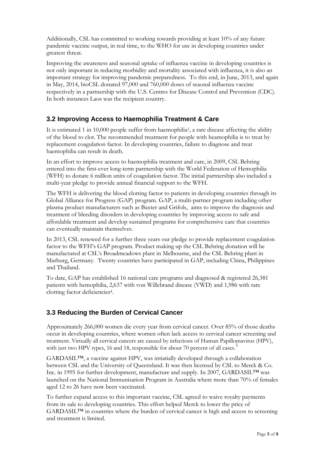Additionally, CSL has committed to working towards providing at least 10% of any future pandemic vaccine output, in real time, to the WHO for use in developing countries under greatest threat.

Improving the awareness and seasonal uptake of influenza vaccine in developing countries is not only important in reducing morbidity and mortality associated with influenza, it is also an important strategy for improving pandemic preparedness. To this end, in June, 2013, and again in May, 2014, bioCSL donated 97,000 and 760,000 doses of seaonal influenza vaccine respectively in a partnership with the U.S. Centres for Disease Control and Prevention (CDC). In both instances Laos was the recipient country.

## **3.2 Improving Access to Haemophilia Treatment & Care**

It is estimated 1 in 10,000 people suffer from haemophilia3, a rare disease affecting the ability of the blood to clot. The recommended treatment for people with heamophilia is to treat by replacement coagulation factor. In developing countries, failure to diagnose and treat haemophilia can result in death.

In an effort to improve access to haemophilia treatment and care, in 2009, CSL Behring entered into the first-ever long-term partnership with the World Federation of Hemophilia (WFH) to donate 6 million units of coagulation factor. The initial partnership also included a multi-year pledge to provide annual financial support to the WFH.

The WFH is delivering the blood clotting factor to patients in developing countries through its Global Alliance for Progress (GAP) program. GAP, a multi-partner program including other plasma product manufacturers such as Baxter and Grifols, aims to improve the diagnosis and treatment of bleeding disorders in developing countries by improving access to safe and affordable treatment and develop sustained programs for comprehensive care that countries can eventually maintain themselves.

In 2013, CSL renewed for a further three years our pledge to provide replacement coagulation factor to the WFH's GAP program. Product making up the CSL Behring donation will be manufactured at CSL's Broadmeadows plant in Melbourne, and the CSL Behring plant in Marburg, Germany. Twenty countries have participated in GAP, including China, Philippines and Thailand.

To date, GAP has established 16 national care programs and diagnosed & registered 26,381 patients with hemophilia, 2,637 with von Willebrand disease (VWD) and 1,986 with rare clotting factor deficiencies4.

## **3.3 Reducing the Burden of Cervical Cancer**

Approximately 266,000 women die every year from cervical cancer. Over 85% of those deaths occur in developing countries, where women often lack access to cervical cancer screening and treatment. Virtually all cervical cancers are caused by infections of Human Papillomavirus (HPV), with just two HPV types, 16 and 18, responsible for about 70 percent of all cases.<sup>5</sup>

GARDASIL™, a vaccine against HPV, was intiatially developed through a collaboration between CSL and the University of Queensland. It was then licensed by CSL to Merck & Co. Inc. in 1995 for further development, manufacture and supply. In 2007, GARDASIL™ was launched on the National Immunisation Program in Australia where more than 70% of females aged 12 to 26 have now been vaccinated.

To further expand access to this important vaccine, CSL agreed to waive royalty payments from its sale to developing countries. This effort helped Merck to lower the price of GARDASIL™ in countries where the burden of cervical cancer is high and access to screening and treatment is limited.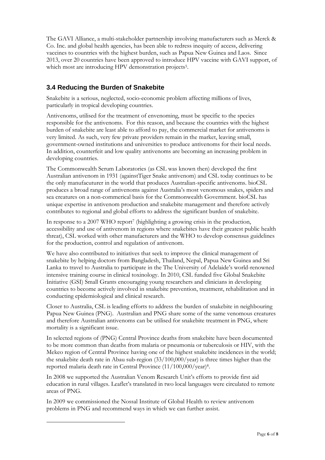The GAVI Alliance, a multi-stakeholder partnership involving manufacturers such as Merck & Co. Inc. and global health agencies, has been able to redress inequity of access, delivering vaccines to countries with the highest burden, such as Papua New Guinea and Laos. Since 2013, over 20 countries have been approved to introduce HPV vaccine with GAVI support, of which most are introducing HPV demonstration projects<sup>5</sup>.

## **3.4 Reducing the Burden of Snakebite**

Snakebite is a serious, neglected, socio-economic problem affecting millions of lives, particularly in tropical developing countries.

Antivenoms, utilised for the treatment of envenoming, must be specific to the species responsible for the antivenoms. For this reason, and because the countries with the highest burden of snakebite are least able to afford to pay, the commercial market for antivenoms is very limited. As such, very few private providers remain in the market, leaving small, government-owned institutions and universities to produce antivenoms for their local needs. In addition, counterfeit and low quality antivenoms are becoming an increasing problem in developing countries.

The Commonwealth Serum Laboratories (as CSL was known then) developed the first Australian antivenom in 1931 (againstTiger Snake antivenom) and CSL today continues to be the only manufacuturer in the world that produces Australian-specific antivenoms. bioCSL produces a broad range of antivenoms against Australia's most venomous snakes, spiders and sea creatures on a non-commerical basis for the Commonwealth Government. bioCSL has unique expertise in antivenom production and snakebite management and therefore actively contributes to regional and global efforts to address the significant burden of snakebite.

In response to a 2007 WHO report<sup>7</sup> (highlighting a growing crisis in the production, accessibility and use of antivenom in regions where snakebites have their greatest public health threat), CSL worked with other manufacturers and the WHO to develop consensus guidelines for the production, control and regulation of antivenom.

We have also contributed to initiatives that seek to improve the clinical management of snakebite by helping doctors from Bangladesh, Thailand, Nepal, Papua New Guinea and Sri Lanka to travel to Australia to participate in the The University of Adelaide's world-renowned intensive training course in clinical toxinology. In 2010, CSL funded five Global Snakebite Initiative (GSI) Small Grants encouraging young researchers and clinicians in developing countries to become actively involved in snakebite prevention, treatment, rehabilitation and in conducting epidemiological and clinical research.

Closer to Australia, CSL is leading efforts to address the burden of snakebite in neighbouring Papua New Guinea (PNG). Australian and PNG share some of the same venomous creatures and therefore Australian antivenoms can be utilised for snakebite treatment in PNG, where mortality is a significant issue.

In selected regions of (PNG) Central Province deaths from snakebite have been documented to be more common than deaths from malaria or pneumonia or tuberculosis or HIV, with the Mekeo region of Central Province having one of the highest snakebite incidences in the world; the snakebite death rate in Abau sub-region (33/100,000/year) is three times higher than the reported malaria death rate in Central Province  $(11/100,000/\text{year})^8$ .

In 2008 we supported the Australian Venom Research Unit's efforts to provide first aid education in rural villages. Leaflet's translated in two local languages were circulated to remote areas of PNG.

In 2009 we commissioned the Nossal Institute of Global Health to review antivenom problems in PNG and recommend ways in which we can further assist.

<u>.</u>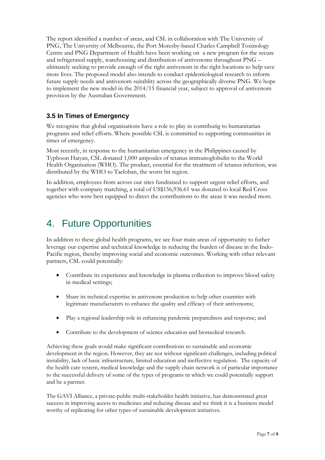The report identified a number of areas, and CSL in collaboration with The University of PNG, The University of Melbourne, the Port Moresby-based Charles Campbell Toxinology Centre and PNG Department of Health have been working on a new program for the secure and refrigerated supply, warehousing and distribution of antivenoms throughout PNG – ultimately seeking to provide enough of the right antivenom in the right locations to help save more lives. The proposed model also intends to conduct epidemiological research to inform future supply needs and antivenom suitablity across the geographically diverse PNG. We hope to implement the new model in the 2014/15 financial year, subject to approval of antivenom provision by the Australian Government.

## **3.5 In Times of Emergency**

We recognise that global organisations have a role to play in contributig to humanitarian programs and relief efforts. Where possible CSL is committed to supporting communities in times of emergency.

Most recently, in response to the humanitarian emergency in the Philippines caused by Typhoon Haiyan, CSL donated 1,000 ampoules of tetanus immunoglobulin to the World Health Organisation (WHO). The product, essential for the treatment of tetanus infection, was distributed by the WHO to Tacloban, the worst hit region.

In addition, employees from across our sites fundraised to support urgent relief efforts, and together with company matching, a total of US\$156,936.61 was donated to local Red Cross agencies who were best equipped to direct the contributions to the areas it was needed most.

## 4. Future Opportunities

In addition to these global health programs, we see four main areas of opportunity to futher leverage our expertise and technical knowledge in reducing the burden of disease in the Indo-Pacific region, thereby improving social and economic outcomes. Working with other relevant partners, CSL could potentially:

- Contribute its experience and knowledge in plasma collection to improve blood safety in medical settings;
- Share its technical expertise in antivenom production to help other countries with legitimate manufacturers to enhance the quality and efficacy of their antivenoms;
- Play a regional leadership role in enhancing pandemic preparedness and response; and
- Contribute to the development of science education and biomedical research.

Achieving these goals would make significant contributions to sustainable and economic development in the region. However, they are not without significant challenges, including political instability, lack of basic infrastructure, limited education and ineffective regulation. The capacity of the health care system, medical knowledge and the supply chain network is of particular importance to the successful delivery of some of the types of programs tn which we could potentially support and be a partner.

The GAVI Alliance, a private-public multi-stakeholder health initiative, has demonstrated great success in improving access to medicines and reducing disease and we think it is a business model worthy of replicating for other types of sustainable development initiatives.